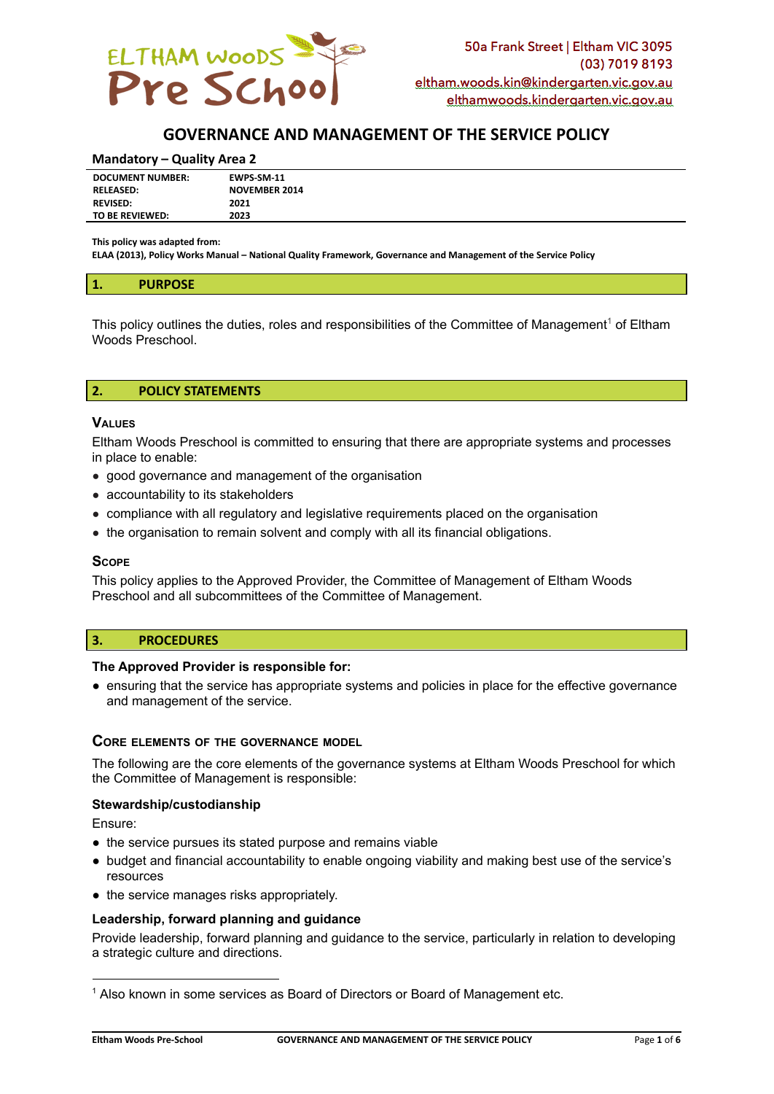

# **GOVERNANCE AND MANAGEMENT OF THE SERVICE POLICY**

#### **Mandatory – Quality Area 2**

| <b>DOCUMENT NUMBER:</b> | EWPS-SM-11           |
|-------------------------|----------------------|
| <b>RELEASED:</b>        | <b>NOVEMBER 2014</b> |
| <b>REVISED:</b>         | 2021                 |
| TO BE REVIEWED:         | 2023                 |
|                         |                      |

**This policy was adapted from:**

**ELAA (2013), Policy Works Manual – National Quality Framework, Governance and Management of the Service Policy**

#### **1. PURPOSE**

This policy outlines the duties, roles and responsibilities of the Committee of Management<sup>1</sup> of Eltham Woods Preschool.

### **2. POLICY STATEMENTS**

#### **VALUES**

Eltham Woods Preschool is committed to ensuring that there are appropriate systems and processes in place to enable:

- good governance and management of the organisation
- accountability to its stakeholders
- compliance with all regulatory and legislative requirements placed on the organisation
- the organisation to remain solvent and comply with all its financial obligations.

### **SCOPE**

This policy applies to the Approved Provider, the Committee of Management of Eltham Woods Preschool and all subcommittees of the Committee of Management.

### **3. PROCEDURES**

### **The Approved Provider is responsible for:**

● ensuring that the service has appropriate systems and policies in place for the effective governance and management of the service.

## **CORE ELEMENTS OF THE GOVERNANCE MODEL**

The following are the core elements of the governance systems at Eltham Woods Preschool for which the Committee of Management is responsible:

### **Stewardship/custodianship**

Ensure:

- the service pursues its stated purpose and remains viable
- budget and financial accountability to enable ongoing viability and making best use of the service's resources
- the service manages risks appropriately.

### **Leadership, forward planning and guidance**

Provide leadership, forward planning and guidance to the service, particularly in relation to developing a strategic culture and directions.

<sup>1</sup> Also known in some services as Board of Directors or Board of Management etc.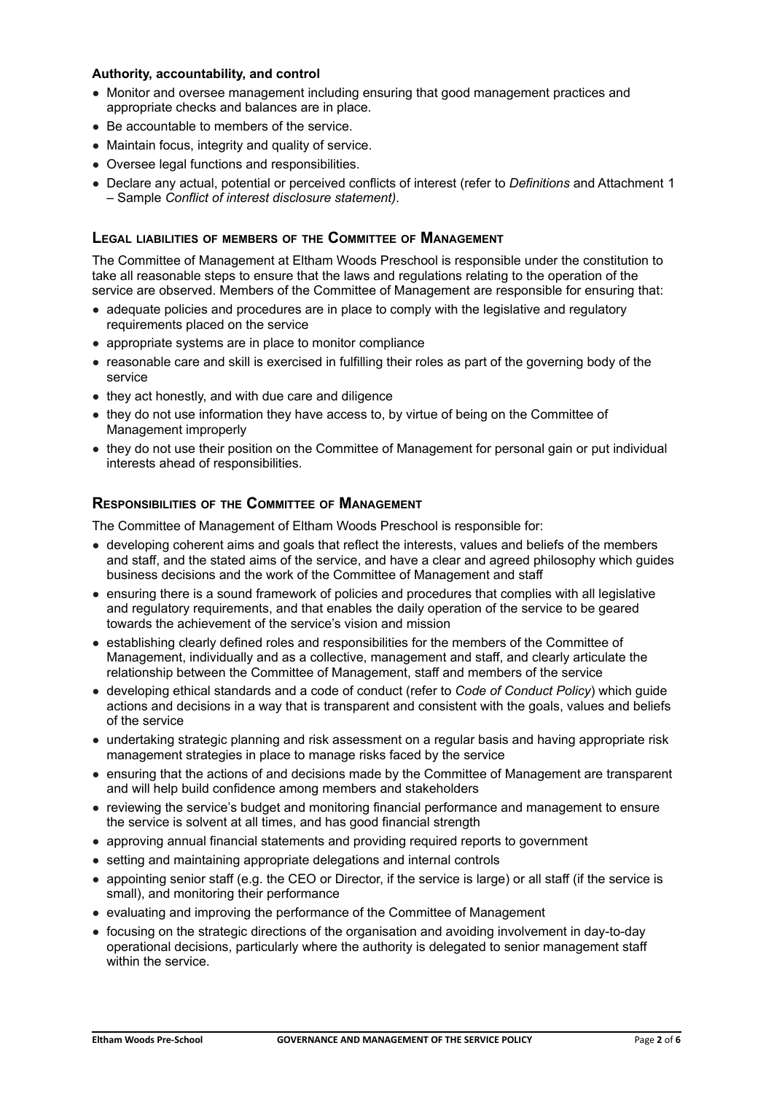### **Authority, accountability, and control**

- Monitor and oversee management including ensuring that good management practices and appropriate checks and balances are in place.
- Be accountable to members of the service.
- Maintain focus, integrity and quality of service.
- Oversee legal functions and responsibilities.
- Declare any actual, potential or perceived conflicts of interest (refer to *Definitions* and Attachment 1 – Sample *Conflict of interest disclosure statement)*.

## **LEGAL LIABILITIES OF MEMBERS OF THE COMMITTEE OF MANAGEMENT**

The Committee of Management at Eltham Woods Preschool is responsible under the constitution to take all reasonable steps to ensure that the laws and regulations relating to the operation of the service are observed. Members of the Committee of Management are responsible for ensuring that:

- adequate policies and procedures are in place to comply with the legislative and regulatory requirements placed on the service
- appropriate systems are in place to monitor compliance
- reasonable care and skill is exercised in fulfilling their roles as part of the governing body of the service
- they act honestly, and with due care and diligence
- they do not use information they have access to, by virtue of being on the Committee of Management improperly
- they do not use their position on the Committee of Management for personal gain or put individual interests ahead of responsibilities.

## **RESPONSIBILITIES OF THE COMMITTEE OF MANAGEMENT**

The Committee of Management of Eltham Woods Preschool is responsible for:

- developing coherent aims and goals that reflect the interests, values and beliefs of the members and staff, and the stated aims of the service, and have a clear and agreed philosophy which guides business decisions and the work of the Committee of Management and staff
- ensuring there is a sound framework of policies and procedures that complies with all legislative and regulatory requirements, and that enables the daily operation of the service to be geared towards the achievement of the service's vision and mission
- establishing clearly defined roles and responsibilities for the members of the Committee of Management, individually and as a collective, management and staff, and clearly articulate the relationship between the Committee of Management, staff and members of the service
- developing ethical standards and a code of conduct (refer to *Code of Conduct Policy*) which guide actions and decisions in a way that is transparent and consistent with the goals, values and beliefs of the service
- undertaking strategic planning and risk assessment on a regular basis and having appropriate risk management strategies in place to manage risks faced by the service
- ensuring that the actions of and decisions made by the Committee of Management are transparent and will help build confidence among members and stakeholders
- reviewing the service's budget and monitoring financial performance and management to ensure the service is solvent at all times, and has good financial strength
- approving annual financial statements and providing required reports to government
- setting and maintaining appropriate delegations and internal controls
- appointing senior staff (e.g. the CEO or Director, if the service is large) or all staff (if the service is small), and monitoring their performance
- evaluating and improving the performance of the Committee of Management
- focusing on the strategic directions of the organisation and avoiding involvement in day-to-day operational decisions, particularly where the authority is delegated to senior management staff within the service.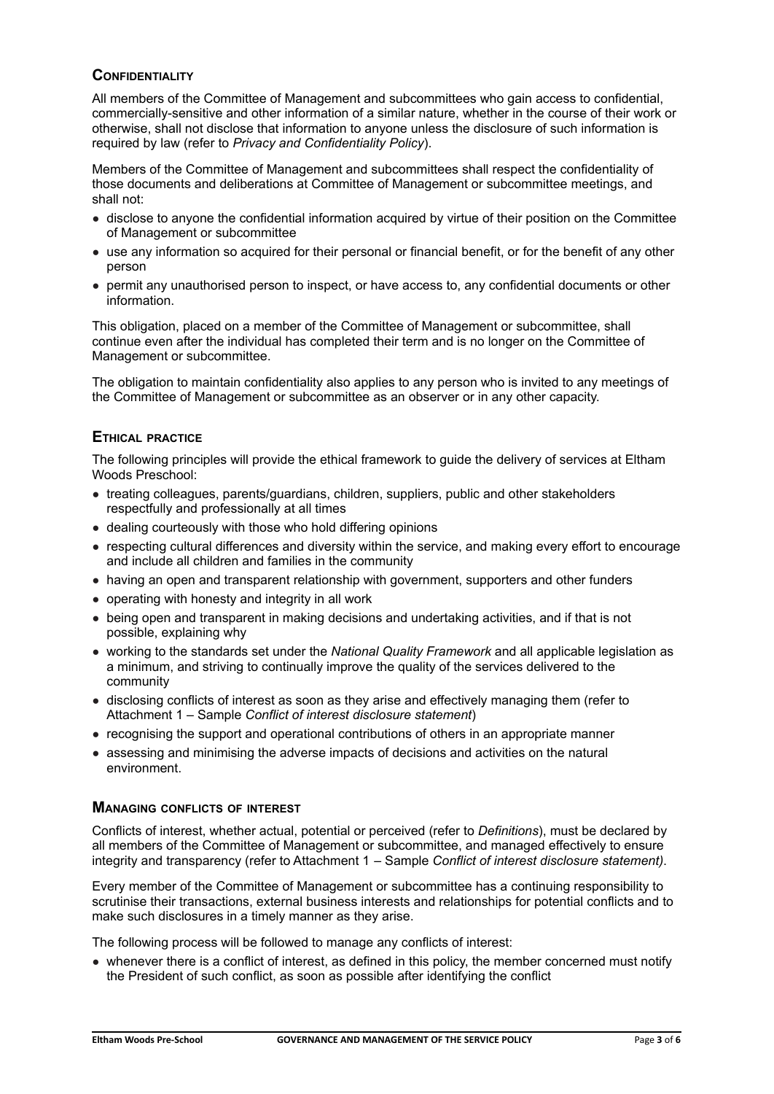## **CONFIDENTIALITY**

All members of the Committee of Management and subcommittees who gain access to confidential, commercially-sensitive and other information of a similar nature, whether in the course of their work or otherwise, shall not disclose that information to anyone unless the disclosure of such information is required by law (refer to *Privacy and Confidentiality Policy*).

Members of the Committee of Management and subcommittees shall respect the confidentiality of those documents and deliberations at Committee of Management or subcommittee meetings, and shall not:

- disclose to anyone the confidential information acquired by virtue of their position on the Committee of Management or subcommittee
- use any information so acquired for their personal or financial benefit, or for the benefit of any other person
- permit any unauthorised person to inspect, or have access to, any confidential documents or other information.

This obligation, placed on a member of the Committee of Management or subcommittee, shall continue even after the individual has completed their term and is no longer on the Committee of Management or subcommittee.

The obligation to maintain confidentiality also applies to any person who is invited to any meetings of the Committee of Management or subcommittee as an observer or in any other capacity.

## **ETHICAL PRACTICE**

The following principles will provide the ethical framework to guide the delivery of services at Eltham Woods Preschool:

- treating colleagues, parents/guardians, children, suppliers, public and other stakeholders respectfully and professionally at all times
- dealing courteously with those who hold differing opinions
- respecting cultural differences and diversity within the service, and making every effort to encourage and include all children and families in the community
- having an open and transparent relationship with government, supporters and other funders
- operating with honesty and integrity in all work
- being open and transparent in making decisions and undertaking activities, and if that is not possible, explaining why
- working to the standards set under the *National Quality Framework* and all applicable legislation as a minimum, and striving to continually improve the quality of the services delivered to the community
- disclosing conflicts of interest as soon as they arise and effectively managing them (refer to Attachment 1 – Sample *Conflict of interest disclosure statement*)
- recognising the support and operational contributions of others in an appropriate manner
- assessing and minimising the adverse impacts of decisions and activities on the natural environment.

### **MANAGING CONFLICTS OF INTEREST**

Conflicts of interest, whether actual, potential or perceived (refer to *Definitions*), must be declared by all members of the Committee of Management or subcommittee, and managed effectively to ensure integrity and transparency (refer to Attachment 1 – Sample *Conflict of interest disclosure statement)*.

Every member of the Committee of Management or subcommittee has a continuing responsibility to scrutinise their transactions, external business interests and relationships for potential conflicts and to make such disclosures in a timely manner as they arise.

The following process will be followed to manage any conflicts of interest:

• whenever there is a conflict of interest, as defined in this policy, the member concerned must notify the President of such conflict, as soon as possible after identifying the conflict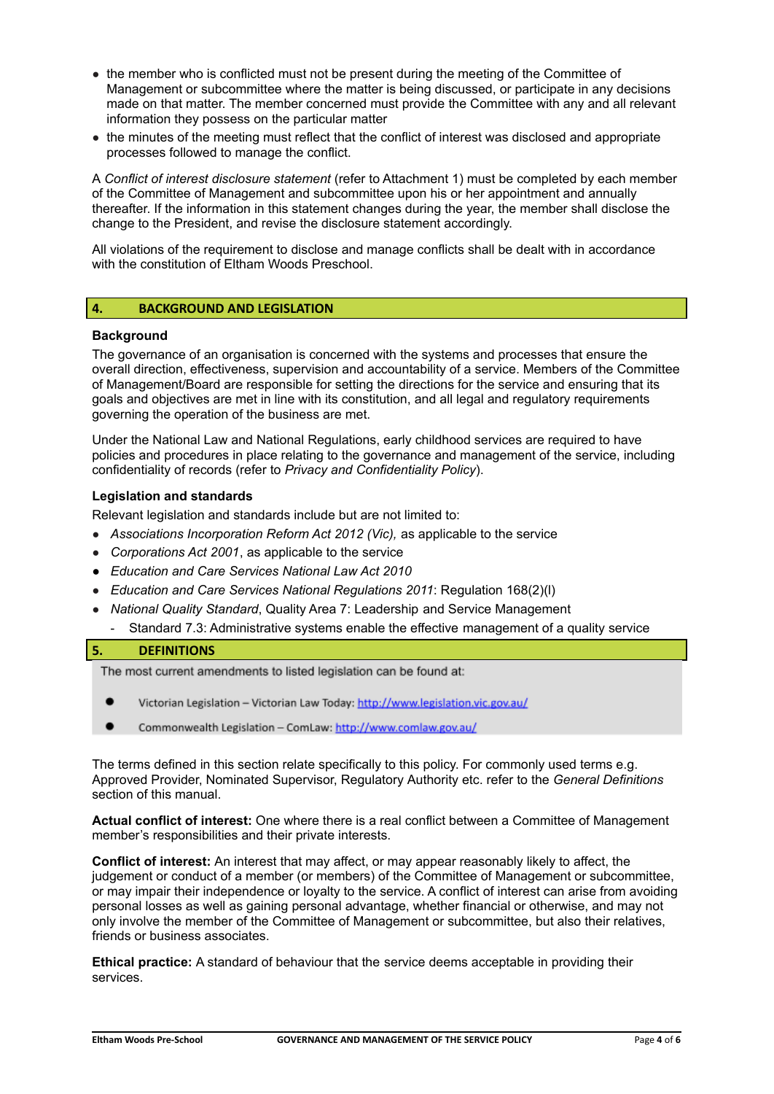- the member who is conflicted must not be present during the meeting of the Committee of Management or subcommittee where the matter is being discussed, or participate in any decisions made on that matter. The member concerned must provide the Committee with any and all relevant information they possess on the particular matter
- the minutes of the meeting must reflect that the conflict of interest was disclosed and appropriate processes followed to manage the conflict.

A *Conflict of interest disclosure statement* (refer to Attachment 1) must be completed by each member of the Committee of Management and subcommittee upon his or her appointment and annually thereafter. If the information in this statement changes during the year, the member shall disclose the change to the President, and revise the disclosure statement accordingly.

All violations of the requirement to disclose and manage conflicts shall be dealt with in accordance with the constitution of Eltham Woods Preschool.

### **4. BACKGROUND AND LEGISLATION**

### **Background**

The governance of an organisation is concerned with the systems and processes that ensure the overall direction, effectiveness, supervision and accountability of a service. Members of the Committee of Management/Board are responsible for setting the directions for the service and ensuring that its goals and objectives are met in line with its constitution, and all legal and regulatory requirements governing the operation of the business are met.

Under the National Law and National Regulations, early childhood services are required to have policies and procedures in place relating to the governance and management of the service, including confidentiality of records (refer to *Privacy and Confidentiality Policy*).

### **Legislation and standards**

Relevant legislation and standards include but are not limited to:

- *Associations Incorporation Reform Act 2012 (Vic),* as applicable to the service
- *Corporations Act 2001*, as applicable to the service
- *● Education and Care Services National Law Act 2010*
- *Education and Care Services National Regulations 2011*: Regulation 168(2)(l)
- *National Quality Standard*, Quality Area 7: Leadership and Service Management
- Standard 7.3: Administrative systems enable the effective management of a quality service

### **5. DEFINITIONS**

The most current amendments to listed legislation can be found at:

- Victorian Legislation Victorian Law Today: http://www.legislation.vic.gov.au/
- Commonwealth Legislation ComLaw: http://www.comlaw.gov.au/

The terms defined in this section relate specifically to this policy. For commonly used terms e.g. Approved Provider, Nominated Supervisor, Regulatory Authority etc. refer to the *General Definitions* section of this manual.

**Actual conflict of interest:** One where there is a real conflict between a Committee of Management member's responsibilities and their private interests.

**Conflict of interest:** An interest that may affect, or may appear reasonably likely to affect, the judgement or conduct of a member (or members) of the Committee of Management or subcommittee, or may impair their independence or loyalty to the service. A conflict of interest can arise from avoiding personal losses as well as gaining personal advantage, whether financial or otherwise, and may not only involve the member of the Committee of Management or subcommittee, but also their relatives, friends or business associates.

**Ethical practice:** A standard of behaviour that the service deems acceptable in providing their services.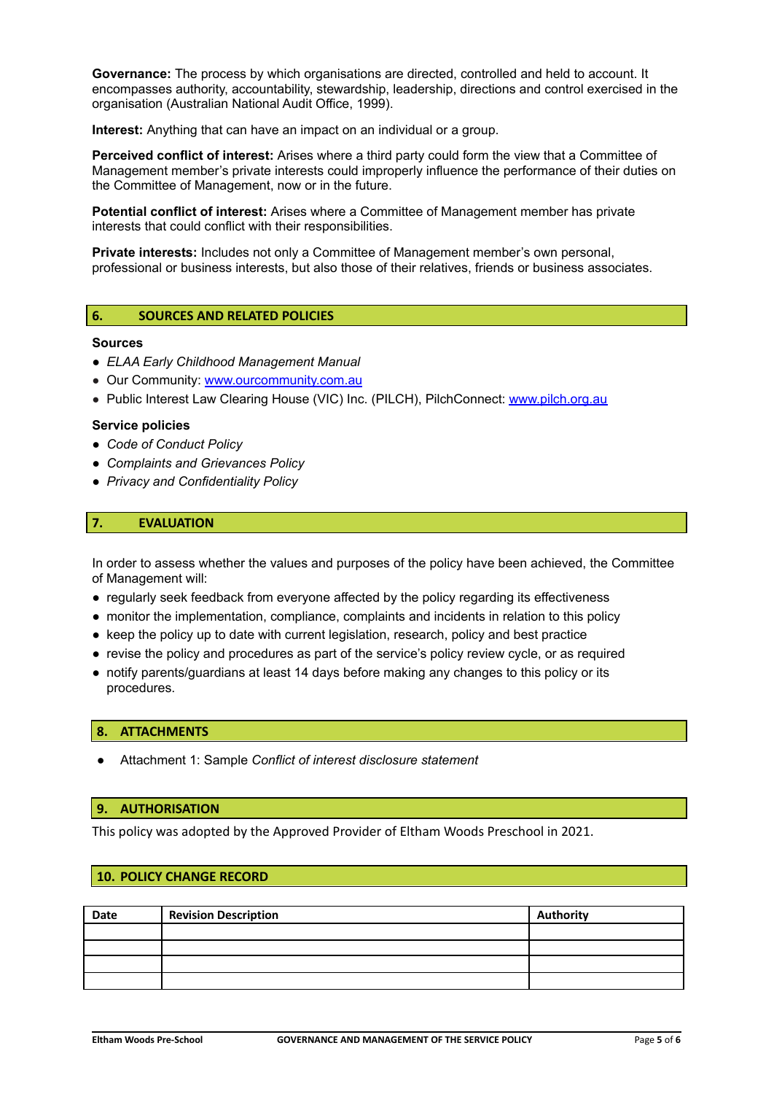**Governance:** The process by which organisations are directed, controlled and held to account. It encompasses authority, accountability, stewardship, leadership, directions and control exercised in the organisation (Australian National Audit Office, 1999).

**Interest:** Anything that can have an impact on an individual or a group.

**Perceived conflict of interest:** Arises where a third party could form the view that a Committee of Management member's private interests could improperly influence the performance of their duties on the Committee of Management, now or in the future.

**Potential conflict of interest:** Arises where a Committee of Management member has private interests that could conflict with their responsibilities.

**Private interests:** Includes not only a Committee of Management member's own personal, professional or business interests, but also those of their relatives, friends or business associates.

### **6. SOURCES AND RELATED POLICIES**

#### **Sources**

- *● ELAA Early Childhood Management Manual*
- Our Community: [www.ourcommunity.com.au](http://www.ourcommunity.com.au)
- Public Interest Law Clearing House (VIC) Inc. (PILCH), PilchConnect: [www.pilch.org.au](http://www.pilch.org.au)

#### **Service policies**

- *● Code of Conduct Policy*
- *● Complaints and Grievances Policy*
- *● Privacy and Confidentiality Policy*

## **7. EVALUATION**

In order to assess whether the values and purposes of the policy have been achieved, the Committee of Management will:

- regularly seek feedback from everyone affected by the policy regarding its effectiveness
- monitor the implementation, compliance, complaints and incidents in relation to this policy
- keep the policy up to date with current legislation, research, policy and best practice
- revise the policy and procedures as part of the service's policy review cycle, or as required
- notify parents/guardians at least 14 days before making any changes to this policy or its procedures.

### **8. ATTACHMENTS**

● Attachment 1: Sample *Conflict of interest disclosure statement*

#### **9. AUTHORISATION**

This policy was adopted by the Approved Provider of Eltham Woods Preschool in 2021.

### **10. POLICY CHANGE RECORD**

| Date | <b>Revision Description</b> | <b>Authority</b> |
|------|-----------------------------|------------------|
|      |                             |                  |
|      |                             |                  |
|      |                             |                  |
|      |                             |                  |